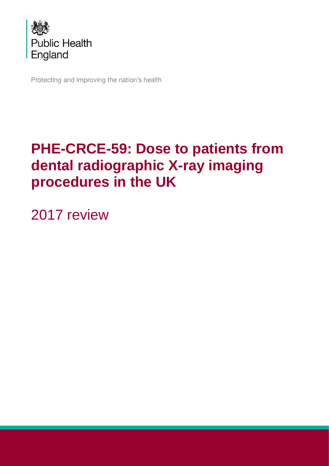

Protecting and improving the nation's health

# **PHE-CRCE-59: Dose to patients from dental radiographic X-ray imaging procedures in the UK**

2017 review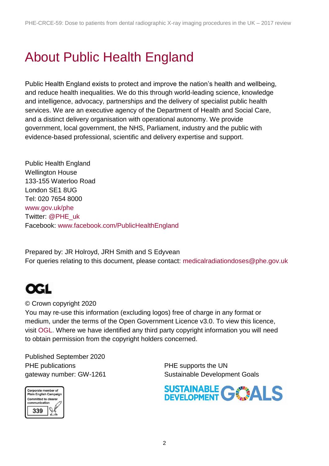# About Public Health England

Public Health England exists to protect and improve the nation's health and wellbeing, and reduce health inequalities. We do this through world-leading science, knowledge and intelligence, advocacy, partnerships and the delivery of specialist public health services. We are an executive agency of the Department of Health and Social Care, and a distinct delivery organisation with operational autonomy. We provide government, local government, the NHS, Parliament, industry and the public with evidence-based professional, scientific and delivery expertise and support.

Public Health England Wellington House 133-155 Waterloo Road London SE1 8UG Tel: 020 7654 8000 [www.gov.uk/phe](http://www.gov.uk/phe) Twitter: [@PHE\\_uk](https://twitter.com/PHE_uk) Facebook: [www.facebook.com/PublicHealthEngland](http://www.facebook.com/PublicHealthEngland)

Prepared by: JR Holroyd, JRH Smith and S Edyvean For queries relating to this document, please contact: [medicalradiationdoses@phe.gov.uk](mailto:medicalradiationdoses@phe.gov.uk)

## **OGI**

#### © Crown copyright 2020

You may re-use this information (excluding logos) free of charge in any format or medium, under the terms of the Open Government Licence v3.0. To view this licence, visit [OGL.](https://www.nationalarchives.gov.uk/doc/open-government-licence/version/3/) Where we have identified any third party copyright information you will need to obtain permission from the copyright holders concerned.

Published September 2020 PHE publications **PHE** supports the UN



gateway number: GW-1261 Sustainable Development Goals

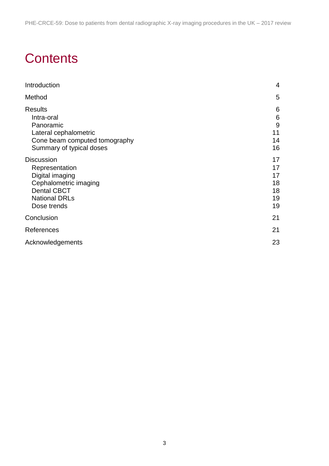## **Contents**

| Introduction                                                                                                                                 | 4                                      |
|----------------------------------------------------------------------------------------------------------------------------------------------|----------------------------------------|
| Method                                                                                                                                       | 5                                      |
| <b>Results</b><br>Intra-oral<br>Panoramic<br>Lateral cephalometric<br>Cone beam computed tomography<br>Summary of typical doses              | 6<br>6<br>9<br>11<br>14<br>16          |
| <b>Discussion</b><br>Representation<br>Digital imaging<br>Cephalometric imaging<br><b>Dental CBCT</b><br><b>National DRLs</b><br>Dose trends | 17<br>17<br>17<br>18<br>18<br>19<br>19 |
| Conclusion                                                                                                                                   | 21                                     |
| References                                                                                                                                   | 21                                     |
| Acknowledgements                                                                                                                             | 23                                     |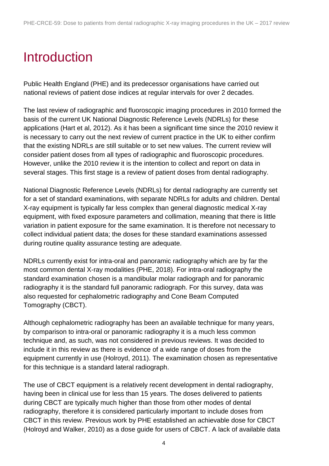# <span id="page-3-0"></span>Introduction

Public Health England (PHE) and its predecessor organisations have carried out national reviews of patient dose indices at regular intervals for over 2 decades.

The last review of radiographic and fluoroscopic imaging procedures in 2010 formed the basis of the current UK National Diagnostic Reference Levels (NDRLs) for these applications (Hart et al, 2012). As it has been a significant time since the 2010 review it is necessary to carry out the next review of current practice in the UK to either confirm that the existing NDRLs are still suitable or to set new values. The current review will consider patient doses from all types of radiographic and fluoroscopic procedures. However, unlike the 2010 review it is the intention to collect and report on data in several stages. This first stage is a review of patient doses from dental radiography.

National Diagnostic Reference Levels (NDRLs) for dental radiography are currently set for a set of standard examinations, with separate NDRLs for adults and children. Dental X-ray equipment is typically far less complex than general diagnostic medical X-ray equipment, with fixed exposure parameters and collimation, meaning that there is little variation in patient exposure for the same examination. It is therefore not necessary to collect individual patient data; the doses for these standard examinations assessed during routine quality assurance testing are adequate.

NDRLs currently exist for intra-oral and panoramic radiography which are by far the most common dental X-ray modalities (PHE, 2018). For intra-oral radiography the standard examination chosen is a mandibular molar radiograph and for panoramic radiography it is the standard full panoramic radiograph. For this survey, data was also requested for cephalometric radiography and Cone Beam Computed Tomography (CBCT).

Although cephalometric radiography has been an available technique for many years, by comparison to intra-oral or panoramic radiography it is a much less common technique and, as such, was not considered in previous reviews. It was decided to include it in this review as there is evidence of a wide range of doses from the equipment currently in use (Holroyd, 2011). The examination chosen as representative for this technique is a standard lateral radiograph.

The use of CBCT equipment is a relatively recent development in dental radiography, having been in clinical use for less than 15 years. The doses delivered to patients during CBCT are typically much higher than those from other modes of dental radiography, therefore it is considered particularly important to include doses from CBCT in this review. Previous work by PHE established an achievable dose for CBCT (Holroyd and Walker, 2010) as a dose guide for users of CBCT. A lack of available data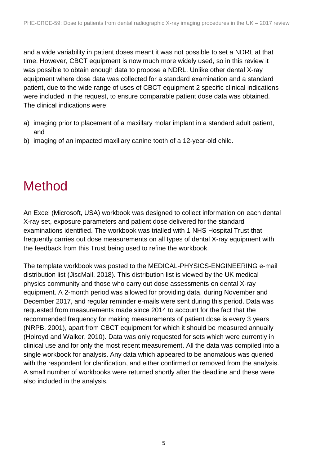and a wide variability in patient doses meant it was not possible to set a NDRL at that time. However, CBCT equipment is now much more widely used, so in this review it was possible to obtain enough data to propose a NDRL. Unlike other dental X-ray equipment where dose data was collected for a standard examination and a standard patient, due to the wide range of uses of CBCT equipment 2 specific clinical indications were included in the request, to ensure comparable patient dose data was obtained. The clinical indications were:

- a) imaging prior to placement of a maxillary molar implant in a standard adult patient, and
- <span id="page-4-0"></span>b) imaging of an impacted maxillary canine tooth of a 12-year-old child.

## Method

An Excel (Microsoft, USA) workbook was designed to collect information on each dental X-ray set, exposure parameters and patient dose delivered for the standard examinations identified. The workbook was trialled with 1 NHS Hospital Trust that frequently carries out dose measurements on all types of dental X-ray equipment with the feedback from this Trust being used to refine the workbook.

The template workbook was posted to the MEDICAL-PHYSICS-ENGINEERING e-mail distribution list (JiscMail, 2018). This distribution list is viewed by the UK medical physics community and those who carry out dose assessments on dental X-ray equipment. A 2-month period was allowed for providing data, during November and December 2017, and regular reminder e-mails were sent during this period. Data was requested from measurements made since 2014 to account for the fact that the recommended frequency for making measurements of patient dose is every 3 years (NRPB, 2001), apart from CBCT equipment for which it should be measured annually (Holroyd and Walker, 2010). Data was only requested for sets which were currently in clinical use and for only the most recent measurement. All the data was compiled into a single workbook for analysis. Any data which appeared to be anomalous was queried with the respondent for clarification, and either confirmed or removed from the analysis. A small number of workbooks were returned shortly after the deadline and these were also included in the analysis.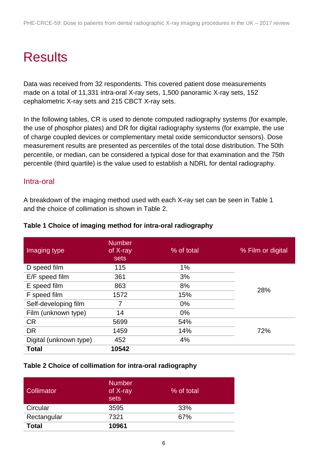# <span id="page-5-0"></span>**Results**

Data was received from 32 respondents. This covered patient dose measurements made on a total of 11,331 intra-oral X-ray sets, 1,500 panoramic X-ray sets, 152 cephalometric X-ray sets and 215 CBCT X-ray sets.

In the following tables, CR is used to denote computed radiography systems (for example, the use of phosphor plates) and DR for digital radiography systems (for example, the use of charge coupled devices or complementary metal oxide semiconductor sensors). Dose measurement results are presented as percentiles of the total dose distribution. The 50th percentile, or median, can be considered a typical dose for that examination and the 75th percentile (third quartile) is the value used to establish a NDRL for dental radiography.

#### <span id="page-5-1"></span>Intra-oral

A breakdown of the imaging method used with each X-ray set can be seen in [Table 1](#page-5-2) and the choice of collimation is shown in [Table 2.](#page-5-3)

| Imaging type           | <b>Number</b><br>of X-ray<br>sets | % of total | % Film or digital |
|------------------------|-----------------------------------|------------|-------------------|
| D speed film           | 115                               | 1%         |                   |
| E/F speed film         | 361                               | 3%         |                   |
| E speed film           | 863                               | 8%         | 28%               |
| F speed film           | 1572                              | 15%        |                   |
| Self-developing film   | 7                                 | $0\%$      |                   |
| Film (unknown type)    | 14                                | $0\%$      |                   |
| <b>CR</b>              | 5699                              | 54%        |                   |
| <b>DR</b>              | 1459                              | 14%        | 72%               |
| Digital (unknown type) | 452                               | 4%         |                   |
| <b>Total</b>           | 10542                             |            |                   |

#### <span id="page-5-2"></span>**Table 1 Choice of imaging method for intra-oral radiography**

#### <span id="page-5-3"></span>**Table 2 Choice of collimation for intra-oral radiography**

| <b>Collimator</b> | <b>Number</b><br>of X-ray<br>sets | % of total |
|-------------------|-----------------------------------|------------|
| Circular          | 3595                              | 33%        |
| Rectangular       | 7321                              | 67%        |
| <b>Total</b>      | 10961                             |            |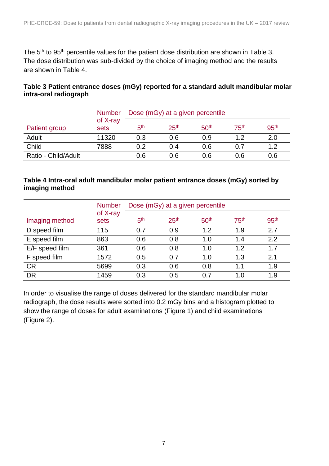The 5<sup>th</sup> to 95<sup>th</sup> percentile values for the patient dose distribution are shown in [Table 3.](#page-6-0) The dose distribution was sub-divided by the choice of imaging method and the results are shown in [Table 4.](#page-6-1)

#### <span id="page-6-0"></span>**Table 3 Patient entrance doses (mGy) reported for a standard adult mandibular molar intra-oral radiograph**

|                      | <b>Number</b>    | Dose (mGy) at a given percentile |                  |                  |                  |                  |
|----------------------|------------------|----------------------------------|------------------|------------------|------------------|------------------|
| <b>Patient group</b> | of X-ray<br>sets | 5 <sup>th</sup>                  | 25 <sup>th</sup> | 50 <sup>th</sup> | 75 <sup>th</sup> | 95 <sup>th</sup> |
| Adult                | 11320            | 0.3                              | 0.6              | 0.9              | 12               | 2.0              |
| Child                | 7888             | 0.2                              | 0.4              | 0.6              | 0.7              | 1.2              |
| Ratio - Child/Adult  |                  | 0.6                              | 0.6              | 0.6              | 0.6              | 0.6              |

#### <span id="page-6-1"></span>**Table 4 Intra-oral adult mandibular molar patient entrance doses (mGy) sorted by imaging method**

|                | <b>Number</b>    | Dose (mGy) at a given percentile |                  |                  |                  |                  |
|----------------|------------------|----------------------------------|------------------|------------------|------------------|------------------|
| Imaging method | of X-ray<br>sets | 5 <sup>th</sup>                  | 25 <sup>th</sup> | 50 <sup>th</sup> | 75 <sup>th</sup> | 95 <sup>th</sup> |
| D speed film   | 115              | 0.7                              | 0.9              | 1.2              | 1.9              | 2.7              |
| E speed film   | 863              | 0.6                              | 0.8              | 1.0              | 1.4              | 2.2              |
| E/F speed film | 361              | 0.6                              | 0.8              | 1.0              | 1.2              | 1.7              |
| F speed film   | 1572             | 0.5                              | 0.7              | 1.0              | 1.3              | 2.1              |
| <b>CR</b>      | 5699             | 0.3                              | 0.6              | 0.8              | 1.1              | 1.9              |
| <b>DR</b>      | 1459             | 0.3                              | 0.5              | 0.7              | 1.0              | 1.9              |

In order to visualise the range of doses delivered for the standard mandibular molar radiograph, the dose results were sorted into 0.2 mGy bins and a histogram plotted to show the range of doses for adult examinations [\(Figure 1\)](#page-7-0) and child examinations [\(Figure 2\)](#page-7-1).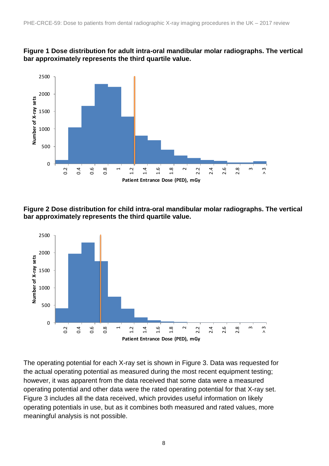<span id="page-7-0"></span>



<span id="page-7-1"></span>**Figure 2 Dose distribution for child intra-oral mandibular molar radiographs. The vertical bar approximately represents the third quartile value.**



The operating potential for each X-ray set is shown in [Figure 3.](#page-8-1) Data was requested for the actual operating potential as measured during the most recent equipment testing; however, it was apparent from the data received that some data were a measured operating potential and other data were the rated operating potential for that X-ray set. [Figure 3](#page-8-1) includes all the data received, which provides useful information on likely operating potentials in use, but as it combines both measured and rated values, more meaningful analysis is not possible.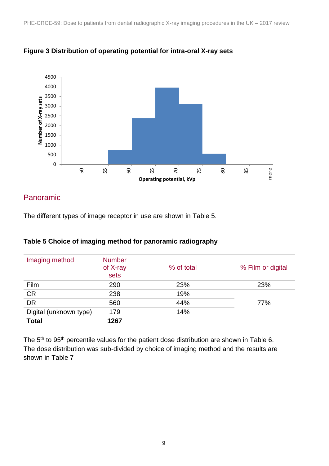

#### <span id="page-8-1"></span>**Figure 3 Distribution of operating potential for intra-oral X-ray sets**

## <span id="page-8-0"></span>Panoramic

The different types of image receptor in use are shown in [Table 5.](#page-8-2)

| Imaging method         | <b>Number</b><br>of X-ray<br>sets | % of total | % Film or digital |
|------------------------|-----------------------------------|------------|-------------------|
| Film                   | 290                               | 23%        | 23%               |
| <b>CR</b>              | 238                               | 19%        |                   |
| <b>DR</b>              | 560                               | 44%        | 77%               |
| Digital (unknown type) | 179                               | 14%        |                   |
| <b>Total</b>           | 1267                              |            |                   |

#### <span id="page-8-2"></span>**Table 5 Choice of imaging method for panoramic radiography**

The 5<sup>th</sup> to 95<sup>th</sup> percentile values for the patient dose distribution are shown in Table 6. The dose distribution was sub-divided by choice of imaging method and the results are shown in Table 7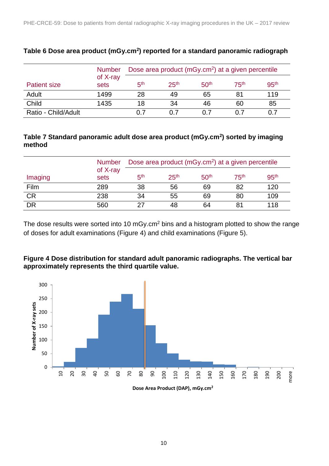|                     | <b>Number</b>    | Dose area product (mGy.cm <sup>2</sup> ) at a given percentile |                  |                  |                  |                  |
|---------------------|------------------|----------------------------------------------------------------|------------------|------------------|------------------|------------------|
| <b>Patient size</b> | of X-ray<br>sets | гth                                                            | 25 <sup>th</sup> | 50 <sup>th</sup> | 75 <sup>th</sup> | 95 <sup>th</sup> |
| Adult               | 1499             | 28                                                             | 49               | 65               | 81               | 119              |
| Child               | 1435             | 18                                                             | 34               | 46               | 60               | 85               |
| Ratio - Child/Adult |                  | 0.7                                                            | 0.7              |                  |                  |                  |

#### **Table 6 Dose area product (mGy.cm<sup>2</sup> ) reported for a standard panoramic radiograph**

#### **Table 7 Standard panoramic adult dose area product (mGy.cm<sup>2</sup> ) sorted by imaging method**

|           | <b>Number</b>    | Dose area product (mGy.cm <sup>2</sup> ) at a given percentile |                  |                  |                  |                  |
|-----------|------------------|----------------------------------------------------------------|------------------|------------------|------------------|------------------|
| Imaging   | of X-ray<br>sets | 5 <sup>th</sup>                                                | 25 <sup>th</sup> | 50 <sup>th</sup> | 75 <sup>th</sup> | 95 <sup>th</sup> |
| Film      | 289              | 38                                                             | 56               | 69               | 82               | 120              |
| <b>CR</b> | 238              | 34                                                             | 55               | 69               | 80               | 109              |
| DR        | 560              |                                                                | 48               | 64               | 81               | 118              |

The dose results were sorted into 10 mGy.cm<sup>2</sup> bins and a histogram plotted to show the range of doses for adult examinations [\(Figure 4\)](#page-9-0) and child examinations [\(Figure 5\)](#page-10-1).

#### <span id="page-9-0"></span>**Figure 4 Dose distribution for standard adult panoramic radiographs. The vertical bar approximately represents the third quartile value.**

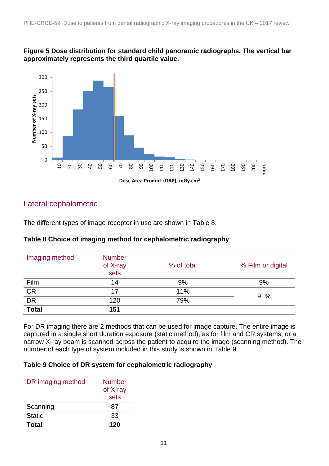#### <span id="page-10-1"></span>**Figure 5 Dose distribution for standard child panoramic radiographs. The vertical bar approximately represents the third quartile value.**



## <span id="page-10-0"></span>Lateral cephalometric

The different types of image receptor in use are shown in [Table 8.](#page-10-2)

### Imaging method Number of X-ray sets % of total % Film or digital Film 14 9% 9% CR <sup>17</sup> 11% 91% DR <sup>120</sup> 79% **Total 151**

#### <span id="page-10-2"></span>**Table 8 Choice of imaging method for cephalometric radiography**

For DR imaging there are 2 methods that can be used for image capture. The entire image is captured in a single short duration exposure (static method), as for film and CR systems, or a narrow X-ray beam is scanned across the patient to acquire the image (scanning method). The number of each type of system included in this study is shown in [Table 9.](#page-10-3)

#### <span id="page-10-3"></span>**Table 9 Choice of DR system for cephalometric radiography**

| DR imaging method | <b>Number</b><br>of X-ray<br>sets |
|-------------------|-----------------------------------|
| Scanning          | 87                                |
| <b>Static</b>     | 33                                |
| Total             | 120                               |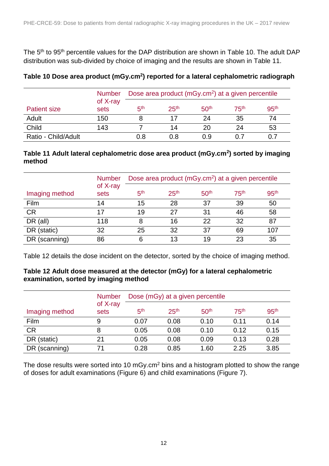The 5<sup>th</sup> to 95<sup>th</sup> percentile values for the DAP distribution are shown in [Table 10.](#page-11-0) The adult DAP distribution was sub-divided by choice of imaging and the results are shown in [Table 11.](#page-11-1)

|                     | <b>Number</b>    | Dose area product (mGy.cm <sup>2</sup> ) at a given percentile |                  |                  |                  |                  |
|---------------------|------------------|----------------------------------------------------------------|------------------|------------------|------------------|------------------|
| <b>Patient size</b> | of X-ray<br>sets | 5 <sup>th</sup>                                                | 25 <sup>th</sup> | 50 <sup>th</sup> | 75 <sup>th</sup> | 95 <sup>th</sup> |
| Adult               | 150              |                                                                |                  | 24               | 35               | 74               |
| Child               | 143              |                                                                | 14               | 20               | 24               | 53               |
| Ratio - Child/Adult |                  | 0.8                                                            | 0.8              | በ 9              |                  |                  |

#### <span id="page-11-0"></span>**Table 10 Dose area product (mGy.cm<sup>2</sup> ) reported for a lateral cephalometric radiograph**

#### <span id="page-11-1"></span>**Table 11 Adult lateral cephalometric dose area product (mGy.cm<sup>2</sup> ) sorted by imaging method**

|                | <b>Number</b>    | Dose area product (mGy.cm <sup>2</sup> ) at a given percentile |                  |                  |                  |                  |
|----------------|------------------|----------------------------------------------------------------|------------------|------------------|------------------|------------------|
| Imaging method | of X-ray<br>sets | 5 <sup>th</sup>                                                | 25 <sup>th</sup> | 50 <sup>th</sup> | 75 <sup>th</sup> | 95 <sup>th</sup> |
| Film           | 14               | 15                                                             | 28               | 37               | 39               | 50               |
| <b>CR</b>      | 17               | 19                                                             | 27               | 31               | 46               | 58               |
| $DR$ (all)     | 118              | 8                                                              | 16               | 22               | 32               | 87               |
| DR (static)    | 32               | 25                                                             | 32               | 37               | 69               | 107              |
| DR (scanning)  | 86               | 6                                                              | 13               | 19               | 23               | 35               |

[Table 12](#page-11-2) details the dose incident on the detector, sorted by the choice of imaging method.

#### <span id="page-11-2"></span>**Table 12 Adult dose measured at the detector (mGy) for a lateral cephalometric examination, sorted by imaging method**

|                | <b>Number</b>    | Dose (mGy) at a given percentile |                  |                  |                  |                  |
|----------------|------------------|----------------------------------|------------------|------------------|------------------|------------------|
| Imaging method | of X-ray<br>sets | 5 <sup>th</sup>                  | 25 <sup>th</sup> | 50 <sup>th</sup> | 75 <sup>th</sup> | 95 <sup>th</sup> |
| Film           | 9                | 0.07                             | 0.08             | 0.10             | 0.11             | 0.14             |
| <b>CR</b>      | 8                | 0.05                             | 0.08             | 0.10             | 0.12             | 0.15             |
| DR (static)    | 21               | 0.05                             | 0.08             | 0.09             | 0.13             | 0.28             |
| DR (scanning)  | 71               | 0.28                             | 0.85             | 1.60             | 2.25             | 3.85             |

The dose results were sorted into 10 mGy.cm<sup>2</sup> bins and a histogram plotted to show the range of doses for adult examinations (Figure 6) and child examinations (Figure 7).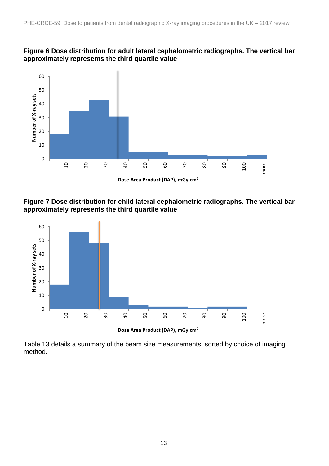



**Figure 7 Dose distribution for child lateral cephalometric radiographs. The vertical bar approximately represents the third quartile value**



**Dose Area Product (DAP), mGy.cm2**

Table 13 details a summary of the beam size measurements, sorted by choice of imaging method.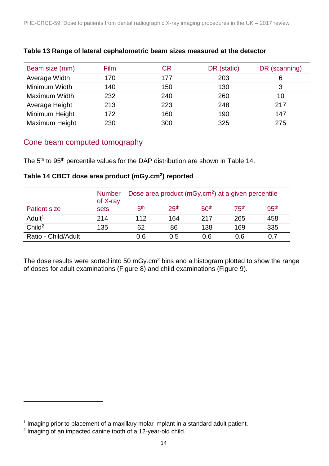| Beam size (mm) | <b>Film</b> | CR  | DR (static) | DR (scanning) |
|----------------|-------------|-----|-------------|---------------|
| Average Width  | 170         | 177 | 203         |               |
| Minimum Width  | 140         | 150 | 130         |               |
| Maximum Width  | 232         | 240 | 260         | 10            |
| Average Height | 213         | 223 | 248         | 217           |
| Minimum Height | 172         | 160 | 190         | 147           |
| Maximum Height | 230         | 300 | 325         | 275           |

#### **Table 13 Range of lateral cephalometric beam sizes measured at the detector**

### <span id="page-13-0"></span>Cone beam computed tomography

The 5<sup>th</sup> to 95<sup>th</sup> percentile values for the DAP distribution are shown in [Table 14.](#page-13-1)

#### <span id="page-13-1"></span>**Table 14 CBCT dose area product (mGy.cm<sup>2</sup> ) reported**

|                     | <b>Number</b>    | Dose area product (mGy.cm <sup>2</sup> ) at a given percentile |                  |                  |                  |                  |  |
|---------------------|------------------|----------------------------------------------------------------|------------------|------------------|------------------|------------------|--|
| <b>Patient size</b> | of X-ray<br>sets | 5 <sup>th</sup>                                                | 25 <sup>th</sup> | 50 <sup>th</sup> | 75 <sup>th</sup> | 95 <sup>th</sup> |  |
| Adult <sup>1</sup>  | 214              | 112                                                            | 164              | 217              | 265              | 458              |  |
| Child <sup>2</sup>  | 135              | 62                                                             | 86               | 138              | 169              | 335              |  |
| Ratio - Child/Adult |                  | 0.6                                                            | 0.5              | 0.6              | 0.6              | 0.7              |  |

The dose results were sorted into 50 mGy.cm<sup>2</sup> bins and a histogram plotted to show the range of doses for adult examinations (Figure 8) and child examinations (Figure 9).

l

<sup>&</sup>lt;sup>1</sup> Imaging prior to placement of a maxillary molar implant in a standard adult patient.

 $2$  Imaging of an impacted canine tooth of a 12-year-old child.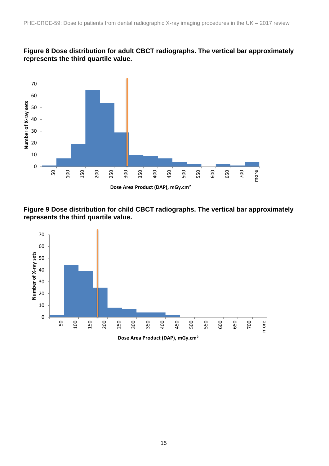#### **Figure 8 Dose distribution for adult CBCT radiographs. The vertical bar approximately represents the third quartile value.**



**Figure 9 Dose distribution for child CBCT radiographs. The vertical bar approximately represents the third quartile value.**

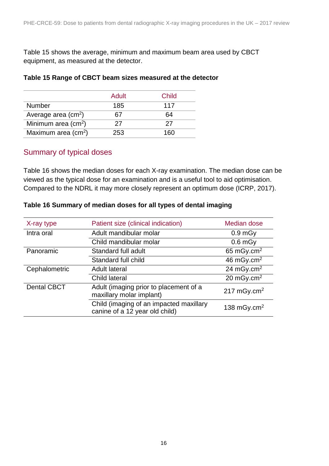Table 15 shows the average, minimum and maximum beam area used by CBCT equipment, as measured at the detector.

|                                     | Adult | Child |
|-------------------------------------|-------|-------|
| <b>Number</b>                       | 185   | 117   |
| Average area $(cm2)$                |       | 64    |
| Minimum area $(cm2)$                | 27    | 27    |
| Maximum area $\text{(cm}^2\text{)}$ | 253   | 160   |

#### <span id="page-15-2"></span>**Table 15 Range of CBCT beam sizes measured at the detector**

### <span id="page-15-0"></span>Summary of typical doses

[Table 16](#page-15-1) shows the median doses for each X-ray examination. The median dose can be viewed as the typical dose for an examination and is a useful tool to aid optimisation. Compared to the NDRL it may more closely represent an optimum dose (ICRP, 2017).

| X-ray type         | Patient size (clinical indication)                                        | Median dose             |
|--------------------|---------------------------------------------------------------------------|-------------------------|
| Intra oral         | Adult mandibular molar                                                    | 0.9 <sub>m</sub>        |
|                    | Child mandibular molar                                                    | $0.6$ mGy               |
| Panoramic          | Standard full adult                                                       | 65 mGy.cm $2$           |
|                    | Standard full child                                                       | 46 mGy.cm $2$           |
| Cephalometric      | <b>Adult lateral</b>                                                      | 24 mGy.cm $2$           |
|                    | <b>Child lateral</b>                                                      | 20 mGy.cm $2$           |
| <b>Dental CBCT</b> | Adult (imaging prior to placement of a<br>maxillary molar implant)        | 217 mGy.cm <sup>2</sup> |
|                    | Child (imaging of an impacted maxillary<br>canine of a 12 year old child) | 138 mGy.cm <sup>2</sup> |

#### <span id="page-15-1"></span>**Table 16 Summary of median doses for all types of dental imaging**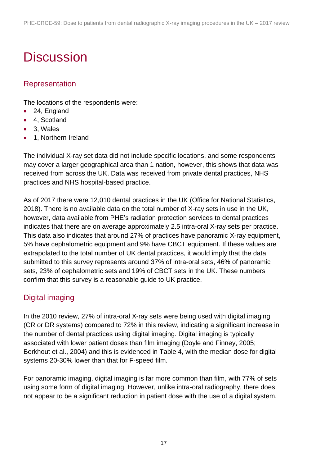# <span id="page-16-0"></span>**Discussion**

## <span id="page-16-1"></span>Representation

The locations of the respondents were:

- 24, England
- 4, Scotland
- 3, Wales
- 1. Northern Ireland

The individual X-ray set data did not include specific locations, and some respondents may cover a larger geographical area than 1 nation, however, this shows that data was received from across the UK. Data was received from private dental practices, NHS practices and NHS hospital-based practice.

As of 2017 there were 12,010 dental practices in the UK (Office for National Statistics, 2018). There is no available data on the total number of X-ray sets in use in the UK, however, data available from PHE's radiation protection services to dental practices indicates that there are on average approximately 2.5 intra-oral X-ray sets per practice. This data also indicates that around 27% of practices have panoramic X-ray equipment, 5% have cephalometric equipment and 9% have CBCT equipment. If these values are extrapolated to the total number of UK dental practices, it would imply that the data submitted to this survey represents around 37% of intra-oral sets, 46% of panoramic sets, 23% of cephalometric sets and 19% of CBCT sets in the UK. These numbers confirm that this survey is a reasonable guide to UK practice.

## <span id="page-16-2"></span>Digital imaging

In the 2010 review, 27% of intra-oral X-ray sets were being used with digital imaging (CR or DR systems) compared to 72% in this review, indicating a significant increase in the number of dental practices using digital imaging. Digital imaging is typically associated with lower patient doses than film imaging (Doyle and Finney, 2005; Berkhout et al., 2004) and this is evidenced in [Table 4,](#page-6-1) with the median dose for digital systems 20-30% lower than that for F-speed film.

For panoramic imaging, digital imaging is far more common than film, with 77% of sets using some form of digital imaging. However, unlike intra-oral radiography, there does not appear to be a significant reduction in patient dose with the use of a digital system.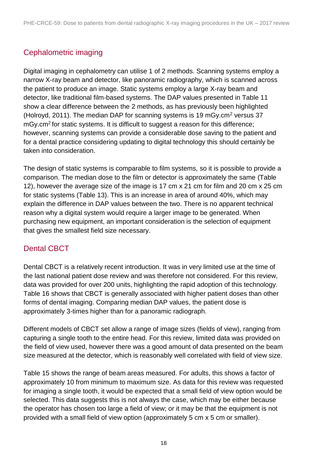## <span id="page-17-0"></span>Cephalometric imaging

Digital imaging in cephalometry can utilise 1 of 2 methods. Scanning systems employ a narrow X-ray beam and detector, like panoramic radiography, which is scanned across the patient to produce an image. Static systems employ a large X-ray beam and detector, like traditional film-based systems. The DAP values presented in [Table 11](#page-11-1) show a clear difference between the 2 methods, as has previously been highlighted (Holroyd, 2011). The median DAP for scanning systems is 19 mGy. $cm<sup>2</sup>$  versus 37 mGy.cm<sup>2</sup> for static systems. It is difficult to suggest a reason for this difference; however, scanning systems can provide a considerable dose saving to the patient and for a dental practice considering updating to digital technology this should certainly be taken into consideration.

The design of static systems is comparable to film systems, so it is possible to provide a comparison. The median dose to the film or detector is approximately the same [\(Table](#page-11-2)  [12\)](#page-11-2), however the average size of the image is 17 cm x 21 cm for film and 20 cm x 25 cm for static systems (Table 13). This is an increase in area of around 40%, which may explain the difference in DAP values between the two. There is no apparent technical reason why a digital system would require a larger image to be generated. When purchasing new equipment, an important consideration is the selection of equipment that gives the smallest field size necessary.

## <span id="page-17-1"></span>Dental CBCT

Dental CBCT is a relatively recent introduction. It was in very limited use at the time of the last national patient dose review and was therefore not considered. For this review, data was provided for over 200 units, highlighting the rapid adoption of this technology. [Table 16](#page-15-1) shows that CBCT is generally associated with higher patient doses than other forms of dental imaging. Comparing median DAP values, the patient dose is approximately 3-times higher than for a panoramic radiograph.

Different models of CBCT set allow a range of image sizes (fields of view), ranging from capturing a single tooth to the entire head. For this review, limited data was provided on the field of view used, however there was a good amount of data presented on the beam size measured at the detector, which is reasonably well correlated with field of view size.

[Table](#page-15-2) 15 shows the range of beam areas measured. For adults, this shows a factor of approximately 10 from minimum to maximum size. As data for this review was requested for imaging a single tooth, it would be expected that a small field of view option would be selected. This data suggests this is not always the case, which may be either because the operator has chosen too large a field of view; or it may be that the equipment is not provided with a small field of view option (approximately 5 cm x 5 cm or smaller).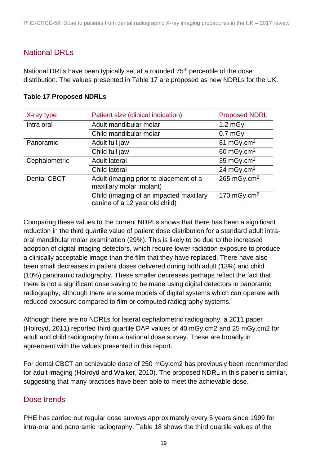### <span id="page-18-0"></span>National DRLs

National DRLs have been typically set at a rounded 75<sup>th</sup> percentile of the dose distribution. The values presented in [Table 17](#page-18-2) are proposed as new NDRLs for the UK.

| X-ray type         | Patient size (clinical indication)                                        | <b>Proposed NDRL</b>    |
|--------------------|---------------------------------------------------------------------------|-------------------------|
| Intra oral         | Adult mandibular molar                                                    | $1.2$ mgy               |
|                    | Child mandibular molar                                                    | $0.7$ mGy               |
| Panoramic          | Adult full jaw                                                            | 81 mGy.cm <sup>2</sup>  |
|                    | Child full jaw                                                            | 60 mGy.cm $2$           |
| Cephalometric      | <b>Adult lateral</b>                                                      | 35 mGy.cm $2$           |
|                    | Child lateral                                                             | 24 mGy.cm <sup>2</sup>  |
| <b>Dental CBCT</b> | Adult (imaging prior to placement of a<br>maxillary molar implant)        | 265 mGy.cm <sup>2</sup> |
|                    | Child (imaging of an impacted maxillary<br>canine of a 12 year old child) | 170 mGy.cm <sup>2</sup> |

#### <span id="page-18-2"></span>**Table 17 Proposed NDRLs**

Comparing these values to the current NDRLs shows that there has been a significant reduction in the third quartile value of patient dose distribution for a standard adult intraoral mandibular molar examination (29%). This is likely to be due to the increased adoption of digital imaging detectors, which require lower radiation exposure to produce a clinically acceptable image than the film that they have replaced. There have also been small decreases in patient doses delivered during both adult (13%) and child (10%) panoramic radiography. These smaller decreases perhaps reflect the fact that there is not a significant dose saving to be made using digital detectors in panoramic radiography, although there are some models of digital systems which can operate with reduced exposure compared to film or computed radiography systems.

Although there are no NDRLs for lateral cephalometric radiography, a 2011 paper (Holroyd, 2011) reported third quartile DAP values of 40 mGy.cm2 and 25 mGy.cm2 for adult and child radiography from a national dose survey. These are broadly in agreement with the values presented in this report.

For dental CBCT an achievable dose of 250 mGy.cm2 has previously been recommended for adult imaging (Holroyd and Walker, 2010). The proposed NDRL in this paper is similar, suggesting that many practices have been able to meet the achievable dose.

### <span id="page-18-1"></span>Dose trends

PHE has carried out regular dose surveys approximately every 5 years since 1999 for intra-oral and panoramic radiography. [Table 18](#page-19-1) shows the third quartile values of the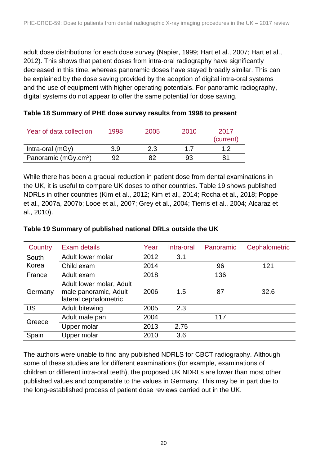adult dose distributions for each dose survey (Napier, 1999; Hart et al., 2007; Hart et al., 2012). This shows that patient doses from intra-oral radiography have significantly decreased in this time, whereas panoramic doses have stayed broadly similar. This can be explained by the dose saving provided by the adoption of digital intra-oral systems and the use of equipment with higher operating potentials. For panoramic radiography, digital systems do not appear to offer the same potential for dose saving.

<span id="page-19-1"></span>

| Table 18 Summary of PHE dose survey results from 1998 to present |  |
|------------------------------------------------------------------|--|
|                                                                  |  |

| Year of data collection          | 1998 | 2005 | 2010 | 2017<br>(current) |
|----------------------------------|------|------|------|-------------------|
| Intra-oral $(mGy)$               | 3.9  | 2.3  | 17   |                   |
| Panoramic (mGy.cm <sup>2</sup> ) | 92   |      | 93   |                   |

While there has been a gradual reduction in patient dose from dental examinations in the UK, it is useful to compare UK doses to other countries. [Table 19](#page-19-2) shows published NDRLs in other countries (Kim et al., 2012; Kim et al., 2014; Rocha et al., 2018; Poppe et al., 2007a, 2007b; Looe et al., 2007; Grey et al., 2004; Tierris et al., 2004; Alcaraz et al., 2010).

| Country   | Exam details                                                               | Year | Intra-oral | Panoramic | Cephalometric |
|-----------|----------------------------------------------------------------------------|------|------------|-----------|---------------|
| South     | Adult lower molar                                                          | 2012 | 3.1        |           |               |
| Korea     | Child exam                                                                 | 2014 |            | 96        | 121           |
| France    | Adult exam                                                                 | 2018 |            | 136       |               |
| Germany   | Adult lower molar, Adult<br>male panoramic, Adult<br>lateral cephalometric | 2006 | 1.5        | 87        | 32.6          |
| <b>US</b> | Adult bitewing                                                             | 2005 | 2.3        |           |               |
| Greece    | Adult male pan                                                             | 2004 |            | 117       |               |
|           | Upper molar                                                                | 2013 | 2.75       |           |               |
| Spain     | Upper molar                                                                | 2010 | 3.6        |           |               |

#### <span id="page-19-2"></span>**Table 19 Summary of published national DRLs outside the UK**

<span id="page-19-0"></span>The authors were unable to find any published NDRLS for CBCT radiography. Although some of these studies are for different examinations (for example, examinations of children or different intra-oral teeth), the proposed UK NDRLs are lower than most other published values and comparable to the values in Germany. This may be in part due to the long-established process of patient dose reviews carried out in the UK.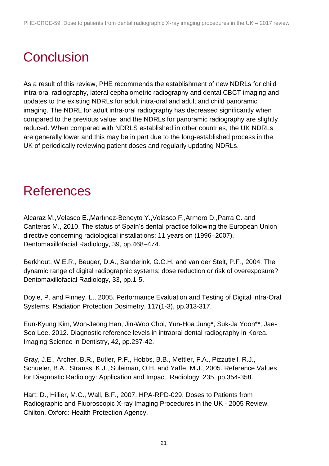# **Conclusion**

As a result of this review, PHE recommends the establishment of new NDRLs for child intra-oral radiography, lateral cephalometric radiography and dental CBCT imaging and updates to the existing NDRLs for adult intra-oral and adult and child panoramic imaging. The NDRL for adult intra-oral radiography has decreased significantly when compared to the previous value; and the NDRLs for panoramic radiography are slightly reduced. When compared with NDRLS established in other countries, the UK NDRLs are generally lower and this may be in part due to the long-established process in the UK of periodically reviewing patient doses and regularly updating NDRLs.

## <span id="page-20-0"></span>**References**

Alcaraz M.,Velasco E.,Martınez-Beneyto Y.,Velasco F.,Armero D.,Parra C. and Canteras M., 2010. The status of Spain's dental practice following the European Union directive concerning radiological installations: 11 years on (1996–2007). Dentomaxillofacial Radiology, 39, pp.468–474.

Berkhout, W.E.R., Beuger, D.A., Sanderink, G.C.H. and van der Stelt, P.F., 2004. The dynamic range of digital radiographic systems: dose reduction or risk of overexposure? Dentomaxillofacial Radiology, 33, pp.1-5.

Doyle, P. and Finney, L., 2005. Performance Evaluation and Testing of Digital Intra-Oral Systems. Radiation Protection Dosimetry, 117(1-3), pp.313-317.

Eun-Kyung Kim, Won-Jeong Han, Jin-Woo Choi, Yun-Hoa Jung\*, Suk-Ja Yoon\*\*, Jae-Seo Lee, 2012. Diagnostic reference levels in intraoral dental radiography in Korea. Imaging Science in Dentistry, 42, pp.237-42.

Gray, J.E., Archer, B.R., Butler, P.F., Hobbs, B.B., Mettler, F.A., Pizzutiell, R.J., Schueler, B.A., Strauss, K.J., Suleiman, O.H. and Yaffe, M.J., 2005. Reference Values for Diagnostic Radiology: Application and Impact. Radiology, 235, pp.354-358.

Hart, D., Hillier, M.C., Wall, B.F., 2007. HPA-RPD-029. Doses to Patients from Radiographic and Fluoroscopic X-ray Imaging Procedures in the UK - 2005 Review. Chilton, Oxford: Health Protection Agency.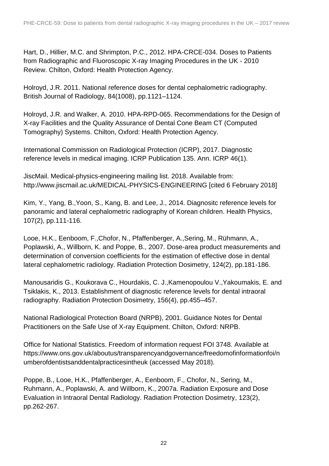Hart, D., Hillier, M.C. and Shrimpton, P.C., 2012. HPA-CRCE-034. Doses to Patients from Radiographic and Fluoroscopic X-ray Imaging Procedures in the UK - 2010 Review. Chilton, Oxford: Health Protection Agency.

Holroyd, J.R. 2011. National reference doses for dental cephalometric radiography. British Journal of Radiology, 84(1008), pp.1121–1124.

Holroyd, J.R. and Walker, A. 2010. HPA-RPD-065. Recommendations for the Design of X-ray Facilities and the Quality Assurance of Dental Cone Beam CT (Computed Tomography) Systems. Chilton, Oxford: Health Protection Agency.

International Commission on Radiological Protection (ICRP), 2017. Diagnostic reference levels in medical imaging. ICRP Publication 135. Ann. ICRP 46(1).

JiscMail. Medical-physics-engineering mailing list. 2018. Available from: http://www.jiscmail.ac.uk/MEDICAL-PHYSICS-ENGINEERING [cited 6 February 2018]

Kim, Y., Yang, B.,Yoon, S., Kang, B. and Lee, J., 2014. Diagnositc reference levels for panoramic and lateral cephalometric radiography of Korean children. Health Physics, 107(2), pp.111-116.

Looe, H.K., Eenboom, F.,Chofor, N., Pfaffenberger, A.,Sering, M., Rühmann, A., Poplawski, A., Willborn, K. and Poppe, B., 2007. Dose-area product measurements and determination of conversion coefficients for the estimation of effective dose in dental lateral cephalometric radiology. Radiation Protection Dosimetry, 124(2), pp.181-186.

Manousaridis G., Koukorava C., Hourdakis, C. J.,Kamenopoulou V.,Yakoumakis, E. and Tsiklakis, K., 2013. Establishment of diagnostic reference levels for dental intraoral radiography. Radiation Protection Dosimetry, 156(4), pp.455–457.

National Radiological Protection Board (NRPB), 2001. Guidance Notes for Dental Practitioners on the Safe Use of X-ray Equipment. Chilton, Oxford: NRPB.

Office for National Statistics. Freedom of information request FOI 3748. Available at https://www.ons.gov.uk/aboutus/transparencyandgovernance/freedomofinformationfoi/n umberofdentistsanddentalpracticesintheuk (accessed May 2018).

Poppe, B., Looe, H.K., Pfaffenberger, A., Eenboom, F., Chofor, N., Sering, M., Ruhmann, A., Poplawski, A. and Willborn, K., 2007a. Radiation Exposure and Dose Evaluation in Intraoral Dental Radiology. Radiation Protection Dosimetry, 123(2), pp.262-267.